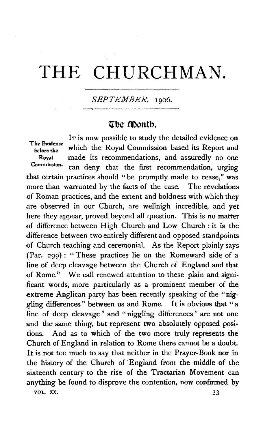# **THE** CHURCHMAN.

## *SEPTEMBER,* 1906.

## **ttbe montb.**

IT is now possible to study the detailed evidence on The Evidence<br>before the which the Royal Commission based its Report and Royal made its recommendations, and assuredly no one<br>Commission: can dance that the first recommendation continues can deny that the first recommendation, urging that certain practices should "be promptly made to cease," was more than warranted by the facts of the case. The revelations of Roman practices, and the extent and boldness with which they are observed in our Church, are wellnigh incredible, and yet here they appear, proved beyond all question. This is no matter of difference between High Church and Low Church: it is the difference between two entirely different and opposed standpoints of Church teaching and ceremonial. As the Report plainly says (Par. 299): "These practices lie on the Romeward side of a line of deep cleavage between the Church of England and that of Rome." We call renewed attention to these plain and significant words, more particularly as a prominent member of the extreme Anglican party has been recently speaking of the "niggling differences " between us and Rome. It is obvious that " a line of deep cleavage" and " niggling differences " are not one and the same thing, but represent two absolutely opposed positions. And as to which of the two more truly represents the Church of England in relation to Rome there cannot be a doubt. It is not too much to say that neither in the Prayer-Book nor in the history of the Church of ·England from the middle of the sixteenth century to the rise of the Tractarian Movement can anything be found to disprove the contention, now confirmed by VOL. XX.  $33$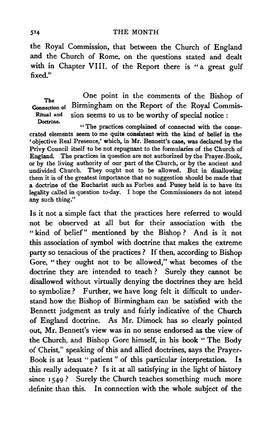#### THE MONTH

the Royal Commission, that between the Church of England and the Church of Rome, on the questions stated and dealt with in Chapter VIII. of the Report there is "a great gulf fixed."

The Connection of Birmingham on the Report of the Royal Commis-Ritual and Doctrine. One point in the comments of the Bishop of sion seems to us to be worthy of special notice :

"The practices complained of connected with the consecrated elements seem to me quite consistent with the kind of belief in the • objective Real Presence,' which, in Mr. Bennett's case, was declared by the Privy Council itself to be not repugnant to the formularies of the Church of England. The practices in question are not authorized by the Prayer-Book, or by the living authority of our part of the Church, or by the ancient and undivided Church. They ought not to be allowed. But in disallowing them it is of the greatest importance that no suggestion should be made that a doctrine of the Eucharist such as Forbes and Pusey held is to have its legality called in question to-day. I hope the Commissioners do not intend any such thing."

Is it not a simple fact that the practices here referred to would not be observed at all but for their association with the " kind of belief" mentioned by the Bishop? And is it not this association of symbol with doctrine that makes the extreme party so tenacious of the practices ? If then, according to Bishop Gore, "they ought not to be allowed," what becomes of the doctrine they are intended to teach ? Surely they cannot be disallowed without virtually denying the doctrines they are held to symbolize ? Further, we have long felt it difficult to understand how the Bishop of Birmingham can be satisfied with the Bennett judgment as truly and fairly indicative of the Church of England doctrine. As Mr. Dimock has so clearly pointed out, Mr. Bennett's view was in no sense endorsed as the view of the Church, and Bishop Gore himself, in his book " The Body of Christ," speaking of this and allied doctrines, says the Prayer-Book is at least " patient " of this particular interpretation. Is this really adequate? Is it at all satisfying in the light of history since  $1549$ ? Surely the Church teaches something much more definite than this. In connection with the whole subject of the

514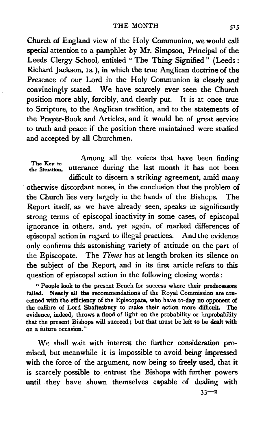Church of England view of the Holy Communion, we would call special attention to a pamphlet by Mr. Simpson, Principal of the Leeds Clergy School, entitled "The Thing Signified" (Leeds: Richard Jackson, Is.), in which the true Anglican doctrine of the Presence of our Lord in the Holy Communion is clearly and convincingly stated. We haye scarcely ever seen the Church position more ably, forcibly, and clearly put. It is at once true to Scripture, to the Anglican tradition, and to the statements of the Prayer-Book and Articles, and it would be of great service to truth and peace if the position there maintained were studied and accepted by all Churchmen.

Among all the voices that have been finding<br>the Situation, utterance during the last month it has not been utterance during the last month it has not been difficult to discern a striking agreement, amid many otherwise discordant notes, in the conclusion that the problem of the Church lies very largely in the hands of the Bishops. The Report itself, as we have already seen, speaks in significantly strong terms of episcopal inactivity in some cases, of episcopal ignorance in others, and, yet again, of marked differences of episcopal action in regard to illegal practices. And the evidence only confirms this astonishing variety of attitude on the part of the Episcopate. The *Times* has at length broken its silence on the subject of the Report, and in its first article refers to this question of episcopal action in the following closing words :

" People look to the present Bench for success where their predecessors failed. Nearly all the recommendations of the Royal Commission are con· cemed with the efficiency of the Episcopate, who have to-day no opponent of the calibre of Lord Shaftesbury to make their action more difficult. The evidence, indeed, throws a flood of light on the probability or improbability that the present Bishops will succeed ; but that must be left to be dealt with on a future occasion."

We shall wait with interest the further consideration promised, but meanwhile it is impossible to avoid being impressed with the force of the argument, now being so freely used, that it is scarcely possible to. entrust the Bishops with further powers until they have shown themselves capable of dealing with

 $33 - 2$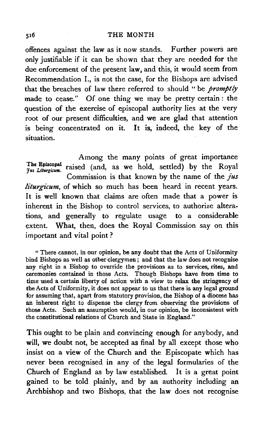offences against the law as it now stands. Further powers are only justifiable if it can be shown that they are needed for the due enforcement of the present law, and this, it would seem from Recommendation I., is not the case, for the Bishops are advised that the breaches of law there referred to should " be *promptty*  made to cease." Of one thing we may be pretty certain : the question of the exercise of episcopal authority lies at the very root of our present difficulties, and we are glad that attention is being concentrated on it. It is, indeed, the key of the situation.

Among the many points of great importance  $j_{us\; Library}$  raised (and, as we hold, settled) by the Royal Commission is that known by the name of the *jus liturgicum,* of which so much has been heard in recent years. It is well known that claims are often made that a power is inherent in the Bishop to control services, to authorize altera· tions, and generally to regulate usage to a considerable extent. What, then, does the Royal Commission say on this important and vital point ?

"There cannot, in our opinion, be any doubt that the Acts of Uniformity bind Bishops as well as other clergymen; and that the law does not recognise any right in a Bishop to override the provisions as to services, rites, and ceremonies contained in those Acts. Though Bishops have from time to time used a certain liberty of action with a view to relax the stringency of the Acts of Uniformity, it does not appear to us that there is any legal ground for assuming that, apart from statutory provision, the Bishop of a diocese has an inherent right to dispense the clergy from observing the provisions of those Acts. Such an assumption would, in our opinion, be inconsistent with the constitutional relations of Church and State in England."

This ought to be plain and convincing enough for anybody, and will, we doubt not, be accepted as final by all except those who insist on a view of the Church and the Episcopate which has never been recognised in any of the legal formularies of the Church of England as by law established. It is a great point gained to be told plainly, and by an authority including an Archbishop and two Bishops, that the law does not recognise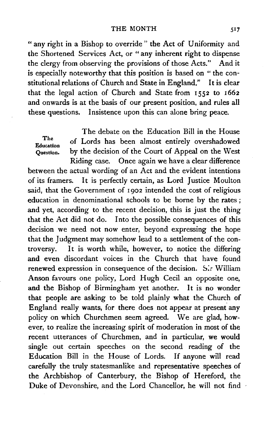#### THE MONTH

"any right in a Bishop to override " the Act of Uniformity and the Shortened Services Act, or " any inherent right to dispense the clergy from observing the provisions of those Acts." And it is especially noteworthy that this position is based on " the constitutional relations of Church and State in England." It is clear that the legal action of Church and State from 1552 to 1662 and onwards is at the basis of our present position, and rules all these questions. Insistence upon this can alone bring peace.

The debate on the Education Bill in the House The of Lords has been almost entirely overshadowed Question. by the decision of the Court of Appeal on the West Riding case. Once again we have a clear difference between the actual wording of an Act and the evident intentions of its framers. It is perfectly certain, as Lord Justice Moulton said, that the Government of 1902 intended the cost of religious education in denominational schools to be borne by the rates *;*  and yet, according to the recent decision, this is just the thing that the Act did not do. Into the possible consequences of this decision we need not now enter, beyond expressing the hope that the Judgment may somehow lead to a settlement of the controversy. It is worth while, however, to notice the differing and even discordant voices in the Church that have found renewed expression in consequence of the decision. Sir William Anson favours one policy, Lord Hugh Cecil an opposite one, and the Bishop of Birmingham yet another. It is no wonder that people are asking to be told plainly what the Church of England really wants, for there does not appear at present any policy on which Churchmen seem agreed. We are glad, however, to realize the increasing spirit of moderation in most of the recent utterances of Churchmen, and in particular, we would single out certain speeches on the second reading of the Education Bill in the House of Lords. If anyone will read carefully the truly statesmanlike and representative speeches of the Archbishop of Canterbury, the Bishop of Hereford, the Duke of Devonshire, and the Lord Chancellor, he will not find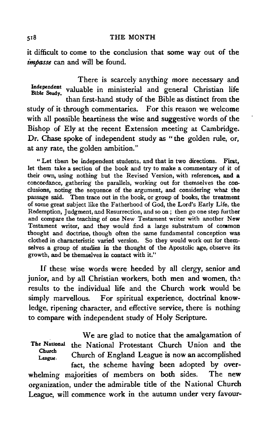#### *SIB* THE MONTH

it difficult to come to the conclusion that some way out of the *t'mpasse* can and will be found.

There is scarcely anything more necessary and Independent valuable in ministerial and general Christian life than first-hand study of the Bible as distinct from the study of it through commentaries. For this reason we welcome with all possible heartiness the wise and suggestive words of the Bishop of Ely at the recent Extension meeting at Cambridge. Dr. Chase spoke of independent study as "the golden rule, or, at any rate, the golden ambition."

" Let them be independent students, and that in two directions. First, let them take a section of the book and try to make a commentary of it of their own, using nothing but the Revised Version, with references, and a concordance, gathering the parallels, working out for themselves the conclusions, noting the sequence of the argument, and considering what the passage said. Then trace out in the book, or group of books, the treatment of some great subject like the Fatherhood of God, the Lord's Early Life, the Redemption, Judgment, and Resurrection, and so on; then go one step further and compare the teaching of one New Testament writer with another New Testament writer, and they would find a large substratum of common thought and doctrine, though often the same fundamental conception was clothed in characteristic varied version. So they would work out for themselves a group of studies in the thought of the Apostolic age, observe its growth, and be themselves in contact with it,"

If these wise words were heeded by all clergy, senior and junior, and by all Christian workers, both men and women, the results to the individual life and the Church work would be simply marvellous. For spiritual experience, doctrinal knowledge, ripening character, and effective service, there is nothing to compare with independent study of Holy Scripture.

The National Church League. We are glad to notice that the amalgamation of the National Protestant Church Union and the Church of England League is now an accomplished fact, the scheme having been adopted by overwhelming majorities of members on both sides. The new organization, under the admirable title of the National Church League, will commence work in the autumn under very favour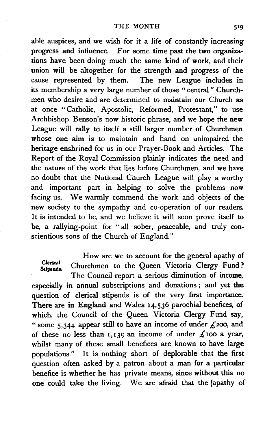able auspices, and we wish for it a life of constantly increasing progress and influence. For some time past the two organizations have been doing much the same kind of work, and their union will be altogether for the strength and progress of the cause represented by them. The new League includes in its membership a very large number of those "central" Churchmen who desire and are determined to maintain our Church as at once "Catholic, Apostolic, Reformed, Protestant," to use Archbishop Benson's now historic phrase, and we hope the new League will rally to itself a still larger number of Churchmen whose one aim is to maintain and hand on unimpaired the heritage enshrined for us in our Prayer-Book and Articles. The Report of the Royal Commission plainly indicates the need and the nature of the work that lies before Churchmen, and we have no doubt that the National Church League will play a worthy and important part in helping to solve the problems now facing us. We warmly commend the work and objects of the new society to the sympathy and co-operation of our readers. It is intended to be, and we believe it will soon prove itself to be, a rallying-point for "all sober, peaceable, and truly conscientious sons of the Church of England."

How are we to account for the general apathy of Clerical Churchmen to the Queen Victoria Clergy Fund ?

The Council report a serious diminution of income, especially in annual subscriptions and donations; and yet the question of clerical stipends is of the very first importance. There are in England and Wales 14,536 parochial benefices, of which, the Council of the Queen Victoria Clergy Fund say, "some 5,344 appear still to have an income of under *£200,* and of these no less than 1,139 an income of under  $\pounds$ 100 a year, whilst many of these small benefices are known to have large populations." It is nothing short of deplorable that the first question often asked by a patron about a man for a particular benefice is whether be has private means, since without this no one could take the living. We are afraid that the lapathy of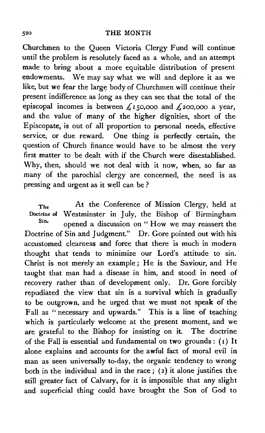Churchmen to the Queen Victoria Clergy Fund will continue until the problem is resolutely faced as a whole, and an attempt made to bring about a more equitable distribution of present endowments. We may say what we will and deplore it as we like, but we fear the large body of Churchmen will continue their present indifference as long as they can see that the total of the episcopal incomes is between  $f_{150,000}$  and  $f_{200,000}$  a year, and the value of many of the higher dignities, short of the Episcopate, is out of all proportion to personal needs, effective service, or due reward. One thing is perfectly certain, the question of Church finance would have to be almost the very first matter to be dealt with if the Church were disestablished. Why, then, should we not deal with it now, when, so far as many of the parochial clergy are concerned, the need is as pressing and urgent as it well can be ?

The At the Conference of Mission Clergy, held at Doctrine of Westminster in July, the Bishop of Birmingham<br>Sin. opened a discussion on " How we may reassert the Doctrine of Sin and Judgment.'' Dr. Gore pointed out with his accustomed clearness and force that there is much in modern thought that tends to minimize our Lord's attitude to sin. Christ is not merely an example; He is the Saviour, and He taught that man had a disease in him, and stood in need of recovery rather than of development only. Dr. Gore forcibly repudiated the view that sin is a survival which is gradually to be outgrown, and he urged that we must not speak of the Fall as '' necessary and upwards." This is a line of teaching which is particularly welcome at the present moment, and we are grateful to the Bishop for insisting on it. The doctrine of the Fall is essential and fundamental on two grounds: ( 1) It alone explains and accounts for the awful fact of moral evil in man as seen universally to-day, the organic tendency to wrong both in the individual and in the race;  $(2)$  it alone justifies the still greater fact of Calvary, for it is impossible that any slight and superficial thing could have brought the Son of God to